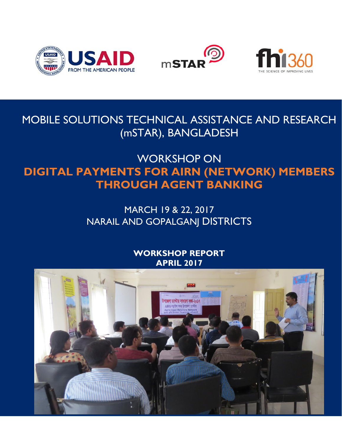





MOBILE SOLUTIONS TECHNICAL ASSISTANCE AND RESEARCH (mSTAR), BANGLADESH

# WORKSHOP ON **DIGITAL PAYMENTS FOR AIRN (NETWORK) MEMBERS THROUGH AGENT BANKING**

# MARCH 19 & 22, 2017 NARAIL AND GOPALGANJ DISTRICTS

# **WORKSHOP REPORT APRIL 2017**

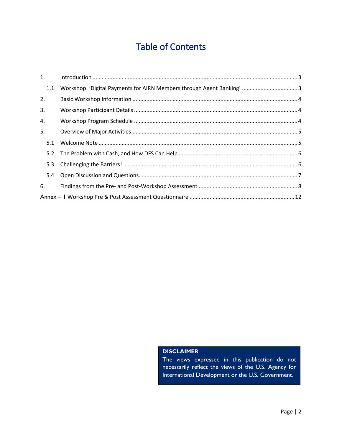# Table of Contents

| 1.  |  |
|-----|--|
| 1.1 |  |
| 2.  |  |
| 3.  |  |
| 4.  |  |
| 5.  |  |
| 5.1 |  |
|     |  |
| 5.3 |  |
| 5.4 |  |
| 6.  |  |
|     |  |

#### **DISCLAIMER**

The views expressed in this publication do not necessarily reflect the views of the U.S. Agency for International Development or the U.S. Government.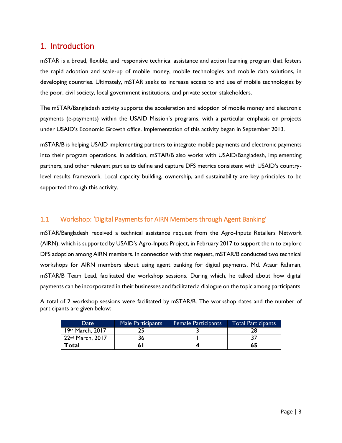### <span id="page-2-0"></span>1. Introduction

mSTAR is a broad, flexible, and responsive technical assistance and action learning program that fosters the rapid adoption and scale-up of mobile money, mobile technologies and mobile data solutions, in developing countries. Ultimately, mSTAR seeks to increase access to and use of mobile technologies by the poor, civil society, local government institutions, and private sector stakeholders.

The mSTAR/Bangladesh activity supports the acceleration and adoption of mobile money and electronic payments (e-payments) within the USAID Mission's programs, with a particular emphasis on projects under USAID's Economic Growth office. Implementation of this activity began in September 2013.

mSTAR/B is helping USAID implementing partners to integrate mobile payments and electronic payments into their program operations. In addition, mSTAR/B also works with USAID/Bangladesh, implementing partners, and other relevant parties to define and capture DFS metrics consistent with USAID's countrylevel results framework. Local capacity building, ownership, and sustainability are key principles to be supported through this activity.

#### <span id="page-2-1"></span>1.1 Workshop: 'Digital Payments for AIRN Members through Agent Banking'

mSTAR/Bangladesh received a technical assistance request from the Agro-Inputs Retailers Network (AIRN), which is supported by USAID's Agro-Inputs Project, in February 2017 to support them to explore DFS adoption among AIRN members. In connection with that request, mSTAR/B conducted two technical workshops for AIRN members about using agent banking for digital payments. Md. Ataur Rahman, mSTAR/B Team Lead, facilitated the workshop sessions. During which, he talked about how digital payments can be incorporated in their businesses and facilitated a dialogue on the topic among participants.

A total of 2 workshop sessions were facilitated by mSTAR/B. The workshop dates and the number of participants are given below:

| Date                         | Male Participants | <b>Female Participants</b> | <b>Total Participants</b> |
|------------------------------|-------------------|----------------------------|---------------------------|
| 19th March, 2017             |                   |                            |                           |
| 22 <sup>nd</sup> March, 2017 |                   |                            |                           |
| Total                        |                   |                            | 65                        |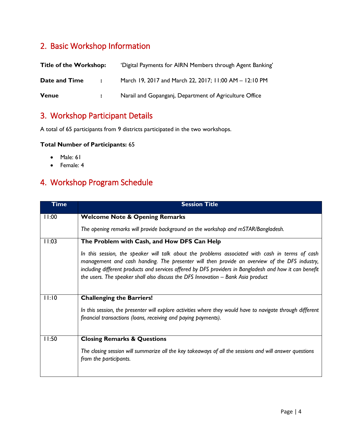# <span id="page-3-0"></span>2. Basic Workshop Information

| <b>Title of the Workshop:</b> |                   | 'Digital Payments for AIRN Members through Agent Banking' |
|-------------------------------|-------------------|-----------------------------------------------------------|
| Date and Time                 | $\sim$ 100 $\sim$ | March 19, 2017 and March 22, 2017; 11:00 AM - 12:10 PM    |
| <b>Venue</b>                  |                   | Narail and Gopanganj, Department of Agriculture Office    |

### <span id="page-3-1"></span>3. Workshop Participant Details

A total of 65 participants from 9 districts participated in the two workshops.

#### **Total Number of Participants:** 65

- Male: 61
- Female: 4

# <span id="page-3-2"></span>4. Workshop Program Schedule

| <b>Time</b> | <b>Session Title</b>                                                                                                                                                                                                                                                                                                                                                                              |
|-------------|---------------------------------------------------------------------------------------------------------------------------------------------------------------------------------------------------------------------------------------------------------------------------------------------------------------------------------------------------------------------------------------------------|
| 11:00       | <b>Welcome Note &amp; Opening Remarks</b>                                                                                                                                                                                                                                                                                                                                                         |
|             | The opening remarks will provide background on the workshop and mSTAR/Bangladesh.                                                                                                                                                                                                                                                                                                                 |
| 11:03       | The Problem with Cash, and How DFS Can Help                                                                                                                                                                                                                                                                                                                                                       |
|             | In this session, the speaker will talk about the problems associated with cash in terms of cash<br>management and cash handing. The presenter will then provide an overview of the DFS industry,<br>including different products and services offered by DFS providers in Bangladesh and how it can benefit<br>the users. The speaker shall also discuss the DFS Innovation $-$ Bank Asia product |
| 11:10       | <b>Challenging the Barriers!</b>                                                                                                                                                                                                                                                                                                                                                                  |
|             | In this session, the presenter will explore activities where they would have to navigate through different<br>financial transactions (loans, receiving and paying payments).                                                                                                                                                                                                                      |
| 11:50       | <b>Closing Remarks &amp; Questions</b>                                                                                                                                                                                                                                                                                                                                                            |
|             | The closing session will summarize all the key takeaways of all the sessions and will answer questions<br>from the participants.                                                                                                                                                                                                                                                                  |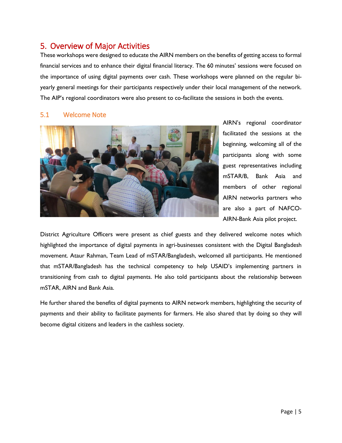### <span id="page-4-0"></span>5. Overview of Major Activities

These workshops were designed to educate the AIRN members on the benefits of getting access to formal financial services and to enhance their digital financial literacy. The 60 minutes' sessions were focused on the importance of using digital payments over cash. These workshops were planned on the regular biyearly general meetings for their participants respectively under their local management of the network. The AIP's regional coordinators were also present to co-facilitate the sessions in both the events.

#### <span id="page-4-1"></span>5.1 Welcome Note



AIRN's regional coordinator facilitated the sessions at the beginning, welcoming all of the participants along with some guest representatives including mSTAR/B, Bank Asia and members of other regional AIRN networks partners who are also a part of NAFCO-AIRN-Bank Asia pilot project.

District Agriculture Officers were present as chief guests and they delivered welcome notes which highlighted the importance of digital payments in agri-businesses consistent with the Digital Bangladesh movement. Ataur Rahman, Team Lead of mSTAR/Bangladesh, welcomed all participants. He mentioned that mSTAR/Bangladesh has the technical competency to help USAID's implementing partners in transitioning from cash to digital payments. He also told participants about the relationship between mSTAR, AIRN and Bank Asia.

He further shared the benefits of digital payments to AIRN network members, highlighting the security of payments and their ability to facilitate payments for farmers. He also shared that by doing so they will become digital citizens and leaders in the cashless society.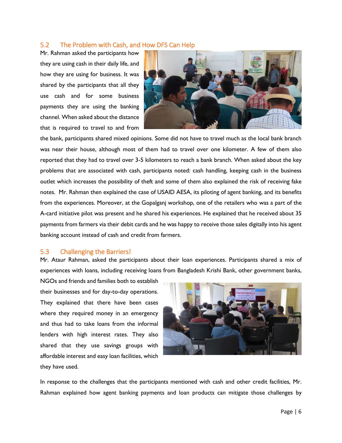#### <span id="page-5-0"></span>5.2 The Problem with Cash, and How DFS Can Help

Mr. Rahman asked the participants how they are using cash in their daily life, and how they are using for business. It was shared by the participants that all they use cash and for some business payments they are using the banking channel. When asked about the distance that is required to travel to and from



the bank, participants shared mixed opinions. Some did not have to travel much as the local bank branch was near their house, although most of them had to travel over one kilometer. A few of them also reported that they had to travel over 3-5 kilometers to reach a bank branch. When asked about the key problems that are associated with cash, participants noted: cash handling, keeping cash in the business outlet which increases the possibility of theft and some of them also explained the risk of receiving fake notes. Mr. Rahman then explained the case of USAID AESA, its piloting of agent banking, and its benefits from the experiences. Moreover, at the Gopalganj workshop, one of the retailers who was a part of the A-card initiative pilot was present and he shared his experiences. He explained that he received about 35 payments from farmers via their debit cards and he was happy to receive those sales digitally into his agent banking account instead of cash and credit from farmers.

#### <span id="page-5-1"></span>5.3 Challenging the Barriers!

Mr. Ataur Rahman, asked the participants about their loan experiences. Participants shared a mix of experiences with loans, including receiving loans from Bangladesh Krishi Bank, other government banks,

NGOs and friends and families both to establish their businesses and for day-to-day operations. They explained that there have been cases where they required money in an emergency and thus had to take loans from the informal lenders with high interest rates. They also shared that they use savings groups with affordable interest and easy loan facilities, which they have used.



In response to the challenges that the participants mentioned with cash and other credit facilities, Mr. Rahman explained how agent banking payments and loan products can mitigate those challenges by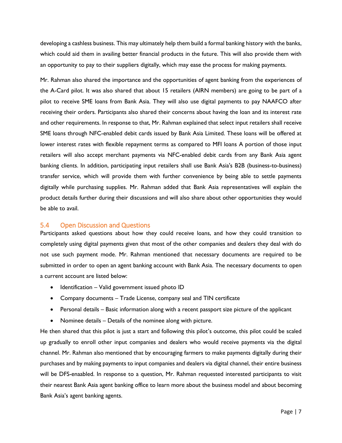developing a cashless business. This may ultimately help them build a formal banking history with the banks, which could aid them in availing better financial products in the future. This will also provide them with an opportunity to pay to their suppliers digitally, which may ease the process for making payments.

Mr. Rahman also shared the importance and the opportunities of agent banking from the experiences of the A-Card pilot. It was also shared that about 15 retailers (AIRN members) are going to be part of a pilot to receive SME loans from Bank Asia. They will also use digital payments to pay NAAFCO after receiving their orders. Participants also shared their concerns about having the loan and its interest rate and other requirements. In response to that, Mr. Rahman explained that select input retailers shall receive SME loans through NFC-enabled debit cards issued by Bank Asia Limited. These loans will be offered at lower interest rates with flexible repayment terms as compared to MFI loans A portion of those input retailers will also accept merchant payments via NFC-enabled debit cards from any Bank Asia agent banking clients. In addition, participating input retailers shall use Bank Asia's B2B (business-to-business) transfer service, which will provide them with further convenience by being able to settle payments digitally while purchasing supplies. Mr. Rahman added that Bank Asia representatives will explain the product details further during their discussions and will also share about other opportunities they would be able to avail.

#### <span id="page-6-0"></span>5.4 Open Discussion and Questions

Participants asked questions about how they could receive loans, and how they could transition to completely using digital payments given that most of the other companies and dealers they deal with do not use such payment mode. Mr. Rahman mentioned that necessary documents are required to be submitted in order to open an agent banking account with Bank Asia. The necessary documents to open a current account are listed below:

- $\bullet$  Identification Valid government issued photo ID
- Company documents Trade License, company seal and TIN certificate
- Personal details Basic information along with a recent passport size picture of the applicant
- Nominee details Details of the nominee along with picture.

He then shared that this pilot is just a start and following this pilot's outcome, this pilot could be scaled up gradually to enroll other input companies and dealers who would receive payments via the digital channel. Mr. Rahman also mentioned that by encouraging farmers to make payments digitally during their purchases and by making payments to input companies and dealers via digital channel, their entire business will be DFS-enaabled. In response to a question, Mr. Rahman requested interested participants to visit their nearest Bank Asia agent banking office to learn more about the business model and about becoming Bank Asia's agent banking agents.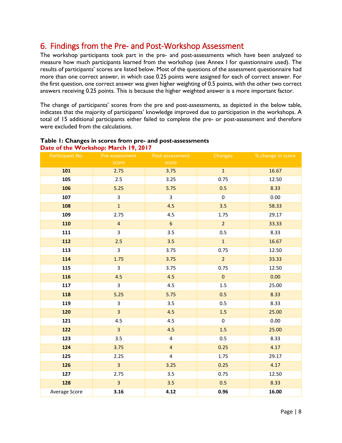### <span id="page-7-0"></span>6. Findings from the Pre- and Post-Workshop Assessment

The workshop participants took part in the pre- and post-assessments which have been analyzed to measure how much participants learned from the workshop (see Annex I for questionnaire used). The results of participants' scores are listed below. Most of the questions of the assessment questionnaire had more than one correct answer, in which case 0.25 points were assigned for each of correct answer. For the first question, one correct answer was given higher weighting of 0.5 points, with the other two correct answers receiving 0.25 points. This is because the higher weighted answer is a more important factor.

The change of participants' scores from the pre and post-assessments, as depicted in the below table, indicates that the majority of participants' knowledge improved due to participation in the workshops. A total of 15 additional participants either failed to complete the pre- or post-assessment and therefore were excluded from the calculations.

| Participant No. | Pre-assessment          | Post-assessment         | Changes          | % change in score |
|-----------------|-------------------------|-------------------------|------------------|-------------------|
|                 | score                   | score                   |                  |                   |
| 101             | 2.75                    | 3.75                    | $\mathbf{1}$     | 16.67             |
| 105             | 2.5                     | 3.25                    | 0.75             | 12.50             |
| 106             | 5.25                    | 5.75                    | 0.5              | 8.33              |
| 107             | $\overline{3}$          | $\overline{3}$          | $\boldsymbol{0}$ | 0.00              |
| 108             | $\mathbf{1}$            | 4.5                     | 3.5              | 58.33             |
| 109             | 2.75                    | 4.5                     | 1.75             | 29.17             |
| 110             | $\overline{4}$          | $6\phantom{a}$          | $\overline{2}$   | 33.33             |
| 111             | 3                       | 3.5                     | 0.5              | 8.33              |
| 112             | 2.5                     | 3.5                     | $\mathbf{1}$     | 16.67             |
| 113             | $\overline{3}$          | 3.75                    | 0.75             | 12.50             |
| 114             | 1.75                    | 3.75                    | $\overline{2}$   | 33.33             |
| 115             | $\overline{3}$          | 3.75                    | 0.75             | 12.50             |
| 116             | 4.5                     | 4.5                     | $\pmb{0}$        | 0.00              |
| 117             | $\overline{3}$          | 4.5                     | 1.5              | 25.00             |
| 118             | 5.25                    | 5.75                    | 0.5              | 8.33              |
| 119             | 3                       | 3.5                     | 0.5              | 8.33              |
| 120             | $\overline{3}$          | 4.5                     | 1.5              | 25.00             |
| 121             | 4.5                     | 4.5                     | $\pmb{0}$        | 0.00              |
| 122             | $\overline{3}$          | 4.5                     | 1.5              | 25.00             |
| 123             | 3.5                     | $\overline{\mathbf{4}}$ | 0.5              | 8.33              |
| 124             | 3.75                    | $\overline{\mathbf{4}}$ | 0.25             | 4.17              |
| 125             | 2.25                    | 4                       | 1.75             | 29.17             |
| 126             | $\overline{3}$          | 3.25                    | 0.25             | 4.17              |
| 127             | 2.75                    | 3.5                     | 0.75             | 12.50             |
| 128             | $\overline{\mathbf{3}}$ | 3.5                     | 0.5              | 8.33              |
| Average Score   | 3.16                    | 4.12                    | 0.96             | 16.00             |

#### **Table 1: Changes in scores from pre- and post-assessments Date of the Workshop: March 19, 2017**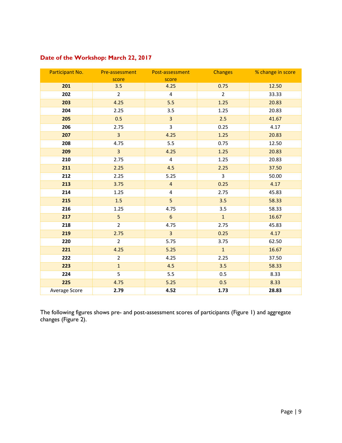| Date of the Workshop: March 22, 2017 |  |  |  |  |  |
|--------------------------------------|--|--|--|--|--|
|--------------------------------------|--|--|--|--|--|

| Participant No. | Pre-assessment<br>score | Post-assessment<br>score | <b>Changes</b> | % change in score |
|-----------------|-------------------------|--------------------------|----------------|-------------------|
| 201             | 3.5                     | 4.25                     | 0.75           | 12.50             |
| 202             | $\overline{2}$          | $\overline{\mathbf{4}}$  | $\overline{2}$ | 33.33             |
| 203             | 4.25                    | 5.5                      | 1.25           | 20.83             |
| 204             | 2.25                    | 3.5                      | 1.25           | 20.83             |
| 205             | 0.5                     | $\overline{\mathbf{3}}$  | 2.5            | 41.67             |
| 206             | 2.75                    | 3                        | 0.25           | 4.17              |
| 207             | $\overline{3}$          | 4.25                     | 1.25           | 20.83             |
| 208             | 4.75                    | 5.5                      | 0.75           | 12.50             |
| 209             | $\overline{3}$          | 4.25                     | 1.25           | 20.83             |
| 210             | 2.75                    | $\overline{4}$           | 1.25           | 20.83             |
| 211             | 2.25                    | 4.5                      | 2.25           | 37.50             |
| 212             | 2.25                    | 5.25                     | $\overline{3}$ | 50.00             |
| 213             | 3.75                    | $\overline{\mathbf{4}}$  | 0.25           | 4.17              |
| 214             | 1.25                    | 4                        | 2.75           | 45.83             |
| 215             | 1.5                     | 5                        | 3.5            | 58.33             |
| 216             | 1.25                    | 4.75                     | 3.5            | 58.33             |
| 217             | 5                       | $6\phantom{a}$           | $\mathbf 1$    | 16.67             |
| 218             | $\overline{2}$          | 4.75                     | 2.75           | 45.83             |
| 219             | 2.75                    | $\overline{3}$           | 0.25           | 4.17              |
| 220             | $\overline{2}$          | 5.75                     | 3.75           | 62.50             |
| 221             | 4.25                    | 5.25                     | $\mathbf{1}$   | 16.67             |
| 222             | $\overline{2}$          | 4.25                     | 2.25           | 37.50             |
| 223             | $\mathbf 1$             | 4.5                      | 3.5            | 58.33             |
| 224             | 5                       | 5.5                      | 0.5            | 8.33              |
| 225             | 4.75                    | 5.25                     | 0.5            | 8.33              |
| Average Score   | 2.79                    | 4.52                     | 1.73           | 28.83             |

The following figures shows pre- and post-assessment scores of participants (Figure 1) and aggregate changes (Figure 2).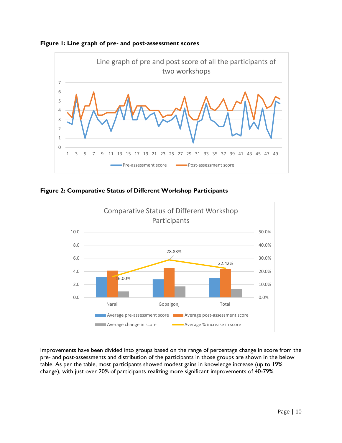



**Figure 2: Comparative Status of Different Workshop Participants**



Improvements have been divided into groups based on the range of percentage change in score from the pre- and post-assessments and distribution of the participants in those groups are shown in the below table. As per the table, most participants showed modest gains in knowledge increase (up to 19% change), with just over 20% of participants realizing more significant improvements of 40-79%.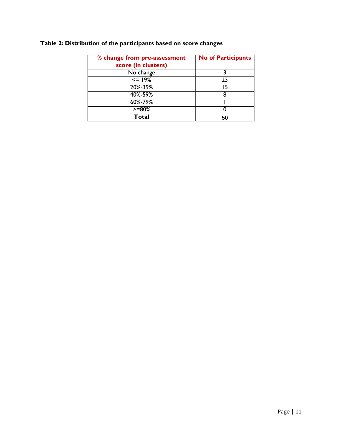| % change from pre-assessment<br>score (in clusters) | <b>No of Participants</b> |
|-----------------------------------------------------|---------------------------|
| No change                                           |                           |
| $\leq$ 19%                                          | 23                        |
| 20%-39%                                             | 15                        |
| 40%-59%                                             |                           |
| 60%-79%                                             |                           |
| $>= 80%$                                            |                           |
| Total                                               |                           |

#### **Table 2: Distribution of the participants based on score changes**